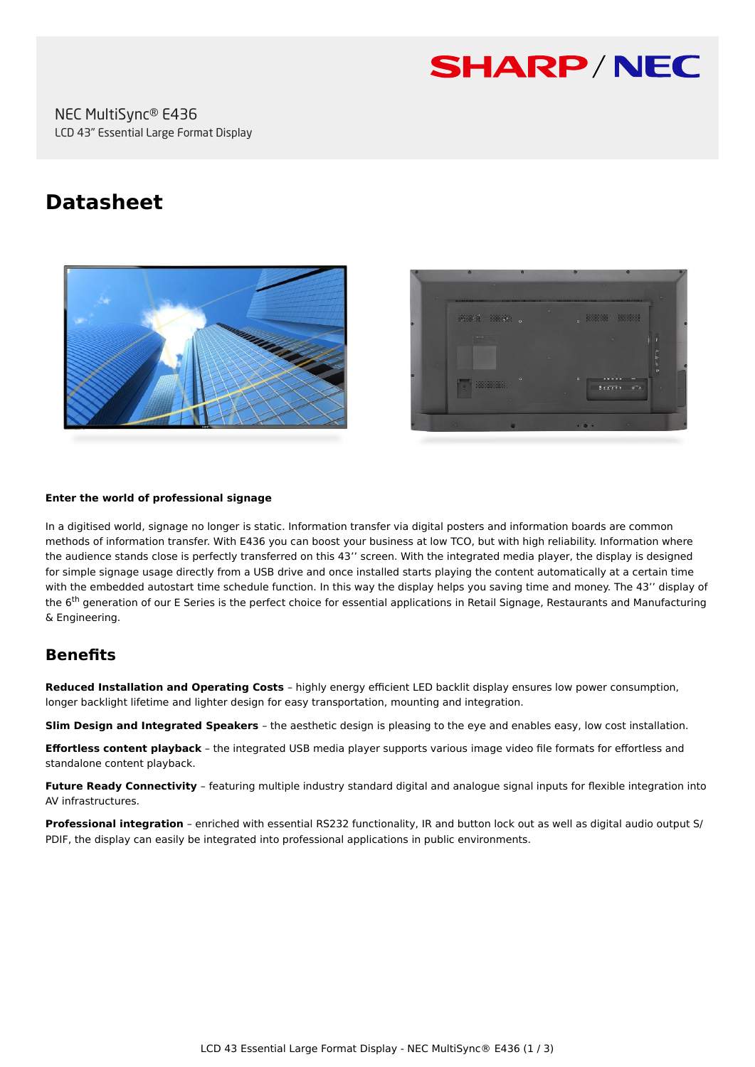

# **Datasheet**





#### **Enter the world of professional signage**

In a digitised world, signage no longer is static. Information transfer via digital posters and information boards are common methods of information transfer. With E436 you can boost your business at low TCO, but with high reliability. Information where the audience stands close is perfectly transferred on this 43'' screen. With the integrated media player, the display is designed for simple signage usage directly from a USB drive and once installed starts playing the content automatically at a certain time with the embedded autostart time schedule function. In this way the display helps you saving time and money. The 43'' display of the 6<sup>th</sup> generation of our E Series is the perfect choice for essential applications in Retail Signage, Restaurants and Manufacturing & Engineering.

# **Benefits**

**Reduced Installation and Operating Costs** – highly energy efficient LED backlit display ensures low power consumption, longer backlight lifetime and lighter design for easy transportation, mounting and integration.

**Slim Design and Integrated Speakers** – the aesthetic design is pleasing to the eye and enables easy, low cost installation.

**Effortless content playback** – the integrated USB media player supports various image video file formats for effortless and standalone content playback.

**Future Ready Connectivity** – featuring multiple industry standard digital and analogue signal inputs for flexible integration into AV infrastructures.

**Professional integration** – enriched with essential RS232 functionality, IR and button lock out as well as digital audio output S/ PDIF, the display can easily be integrated into professional applications in public environments.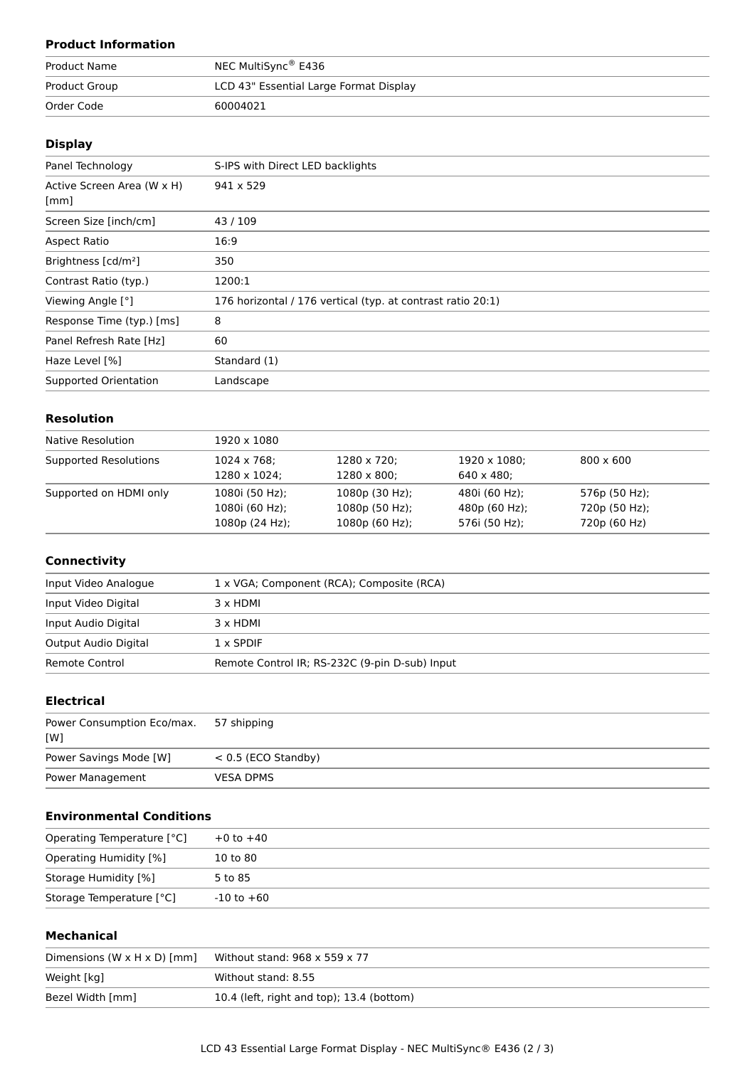## **Product Information**

| <b>Product Name</b> | NEC MultiSync® E436                    |
|---------------------|----------------------------------------|
| Product Group       | LCD 43" Essential Large Format Display |
| Order Code          | 60004021                               |

### **Display**

| Panel Technology                   | S-IPS with Direct LED backlights                            |
|------------------------------------|-------------------------------------------------------------|
| Active Screen Area (W x H)<br>[mm] | $941 \times 529$                                            |
| Screen Size [inch/cm]              | 43/109                                                      |
| Aspect Ratio                       | 16:9                                                        |
| Brightness [cd/m <sup>2</sup> ]    | 350                                                         |
| Contrast Ratio (typ.)              | 1200:1                                                      |
| Viewing Angle [°]                  | 176 horizontal / 176 vertical (typ. at contrast ratio 20:1) |
| Response Time (typ.) [ms]          | 8                                                           |
| Panel Refresh Rate [Hz]            | 60                                                          |
| Haze Level [%]                     | Standard (1)                                                |
| <b>Supported Orientation</b>       | Landscape                                                   |

## **Resolution**

| Native Resolution      | 1920 x 1080         |                     |                    |                  |  |
|------------------------|---------------------|---------------------|--------------------|------------------|--|
| Supported Resolutions  | $1024 \times 768$ ; | 1280 x 720;         | 1920 x 1080;       | $800 \times 600$ |  |
|                        | 1280 x 1024;        | $1280 \times 800$ ; | $640 \times 480$ : |                  |  |
| Supported on HDMI only | 1080i (50 Hz);      | 1080p (30 Hz);      | 480i (60 Hz);      | 576p (50 Hz);    |  |
|                        | 1080i (60 Hz);      | $1080p(50 Hz)$ ;    | 480p (60 Hz);      | 720p (50 Hz);    |  |
|                        | 1080p(24 Hz);       | 1080p(60 Hz);       | 576i (50 Hz);      | 720p (60 Hz)     |  |

#### **Connectivity**

| Input Video Analogue | 1 x VGA; Component (RCA); Composite (RCA)      |
|----------------------|------------------------------------------------|
| Input Video Digital  | 3 x HDMI                                       |
| Input Audio Digital  | 3 x HDMI                                       |
| Output Audio Digital | $1 \times$ SPDIF                               |
| Remote Control       | Remote Control IR; RS-232C (9-pin D-sub) Input |

## **Electrical**

| Power Consumption Eco/max.<br>[W] | 57 shipping           |
|-----------------------------------|-----------------------|
| Power Savings Mode [W]            | $< 0.5$ (ECO Standby) |
| Power Management                  | <b>VESA DPMS</b>      |

## **Environmental Conditions**

| Operating Temperature [°C] | $+0$ to $+40$  |  |
|----------------------------|----------------|--|
| Operating Humidity [%]     | 10 to 80       |  |
| Storage Humidity [%]       | 5 to 85        |  |
| Storage Temperature [°C]   | $-10$ to $+60$ |  |

#### **Mechanical**

| Dimensions $(W \times H \times D)$ [mm] | Without stand: $968 \times 559 \times 77$ |
|-----------------------------------------|-------------------------------------------|
| Weight [kg]                             | Without stand: 8.55                       |
| Bezel Width [mm]                        | 10.4 (left, right and top); 13.4 (bottom) |